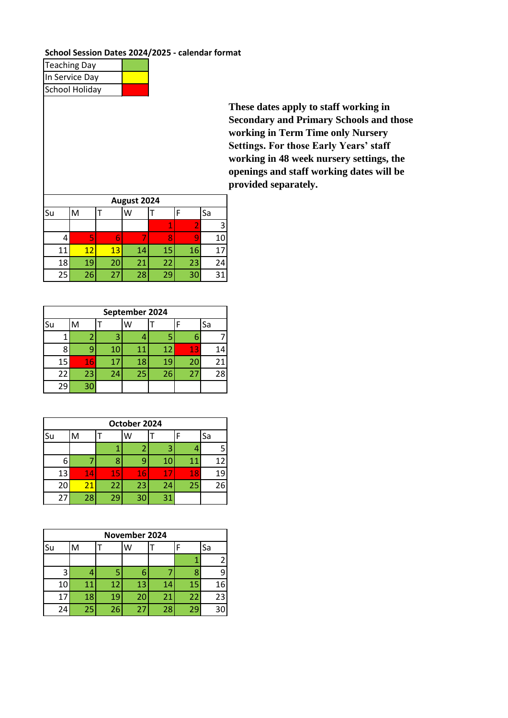## **School Session Dates 2024/2025 - calendar format**

| <b>Teaching Day</b>   |  |
|-----------------------|--|
| In Service Day        |  |
| <b>School Holiday</b> |  |

**These dates apply to staff working in Secondary and Primary Schools and those working in Term Time only Nursery Settings. For those Early Years' staff working in 48 week nursery settings, the openings and staff working dates will be provided separately.** 

| August 2024 |    |    |    |    |    |    |  |  |  |  |  |
|-------------|----|----|----|----|----|----|--|--|--|--|--|
| Su          | М  |    | W  |    |    | Sa |  |  |  |  |  |
|             |    |    |    |    |    | 3  |  |  |  |  |  |
| 4           | 5  |    |    |    |    | 10 |  |  |  |  |  |
| 11          | 12 | 13 | 14 | 15 | 16 |    |  |  |  |  |  |
| 18          | 19 | 20 | 21 | 22 | 23 | 24 |  |  |  |  |  |
| 25          | 26 | 27 | 28 | 29 | 30 | 31 |  |  |  |  |  |

|    | September 2024 |    |    |    |    |    |  |  |  |  |  |  |
|----|----------------|----|----|----|----|----|--|--|--|--|--|--|
| Su | M              |    | W  |    |    | Sa |  |  |  |  |  |  |
|    |                |    |    |    | 6  |    |  |  |  |  |  |  |
| 8  | q              | 10 | 11 | 12 | 13 | 14 |  |  |  |  |  |  |
| 15 | 16             | 17 | 18 | 19 | 20 | 21 |  |  |  |  |  |  |
| 22 | 23             | 24 | 25 | 26 | 27 | 28 |  |  |  |  |  |  |
| 29 | 30             |    |    |    |    |    |  |  |  |  |  |  |

|    | October 2024 |    |    |    |    |    |    |  |  |  |  |  |
|----|--------------|----|----|----|----|----|----|--|--|--|--|--|
| Su | Sa<br>W<br>M |    |    |    |    |    |    |  |  |  |  |  |
|    |              |    |    |    | 3  |    |    |  |  |  |  |  |
| 6  |              |    |    |    | 10 | 11 | 12 |  |  |  |  |  |
| 13 |              | 14 | 15 | 16 | 17 | 18 | 19 |  |  |  |  |  |
| 20 |              | 21 | 22 | 23 | 24 | 25 | 26 |  |  |  |  |  |
| 27 |              | 28 | 29 | 30 | 31 |    |    |  |  |  |  |  |

|    | November 2024 |    |    |    |    |    |  |  |  |  |  |  |
|----|---------------|----|----|----|----|----|--|--|--|--|--|--|
| Su | M             |    | W  |    |    | Sa |  |  |  |  |  |  |
|    |               |    |    |    |    | 2  |  |  |  |  |  |  |
| 3  |               |    |    |    |    | 9  |  |  |  |  |  |  |
| 10 | 11            | 12 | 13 | 14 | 15 | 16 |  |  |  |  |  |  |
| 17 | 18            | 19 | 20 | 21 | 22 | 23 |  |  |  |  |  |  |
| 24 | 25            | 26 | 27 | 28 | 29 | 30 |  |  |  |  |  |  |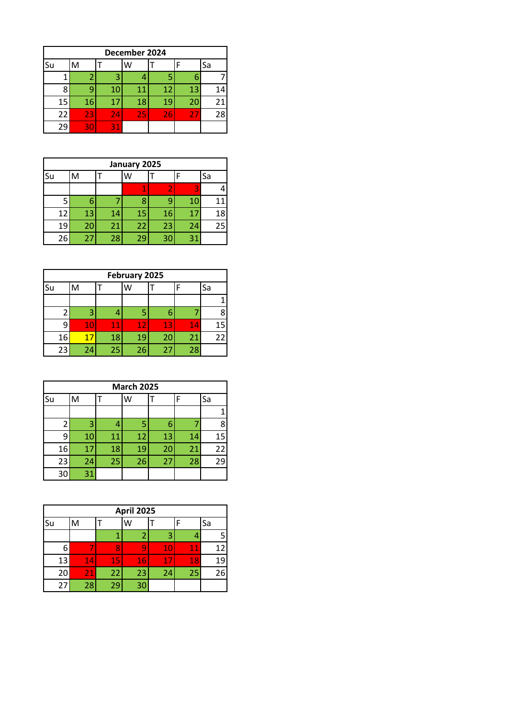|    | December 2024   |    |    |    |    |    |  |  |  |  |  |  |
|----|-----------------|----|----|----|----|----|--|--|--|--|--|--|
| Su | M               | Sa |    |    |    |    |  |  |  |  |  |  |
|    |                 |    |    |    | 6  |    |  |  |  |  |  |  |
| 8  |                 | 10 | 11 | 12 | 13 | 14 |  |  |  |  |  |  |
| 15 | 16              | 17 | 18 | 19 | 20 | 21 |  |  |  |  |  |  |
| 22 | $\overline{23}$ | 24 | 25 | 26 | 27 | 28 |  |  |  |  |  |  |
| 29 | 30              | 31 |    |    |    |    |  |  |  |  |  |  |

|    | January 2025 |   |    |    |  |    |    |    |  |  |  |  |
|----|--------------|---|----|----|--|----|----|----|--|--|--|--|
| Su | M            |   |    | W  |  |    |    | Sa |  |  |  |  |
|    |              |   |    |    |  |    | 3  |    |  |  |  |  |
| 5  |              | 6 |    | Я  |  | q  | 10 | 11 |  |  |  |  |
| 12 | 13           |   | 14 | 15 |  | 16 | 17 | 18 |  |  |  |  |
| 19 | 20           |   | 21 | 22 |  | 23 | 24 | 25 |  |  |  |  |
| 26 | 27           |   | 28 | 29 |  | 30 | 31 |    |  |  |  |  |

| February 2025 |    |              |    |    |    |    |    |  |  |  |
|---------------|----|--------------|----|----|----|----|----|--|--|--|
| Su            |    | Sa<br>W<br>F |    |    |    |    |    |  |  |  |
|               |    |              |    |    |    |    |    |  |  |  |
|               | ্ব |              |    |    | 6  |    |    |  |  |  |
| q             | 10 |              | 11 | 12 | 13 | 14 | 15 |  |  |  |
| 16            |    |              | 18 | 19 | 20 | 21 | 22 |  |  |  |
| 23            | 24 |              | 25 | 26 | 27 | 28 |    |  |  |  |

|    | <b>March 2025</b> |    |    |    |    |    |  |  |  |  |  |  |
|----|-------------------|----|----|----|----|----|--|--|--|--|--|--|
| Su | M                 |    | w  |    | F  | Sa |  |  |  |  |  |  |
|    |                   |    |    |    |    |    |  |  |  |  |  |  |
| 2  | 3                 | 4  | 5  | 6  |    | 8  |  |  |  |  |  |  |
| 9  | 10                | 11 | 12 | 13 | 14 | 15 |  |  |  |  |  |  |
| 16 | 17                | 18 | 19 | 20 | 21 | 22 |  |  |  |  |  |  |
| 23 | 24                | 25 | 26 | 27 | 28 | 29 |  |  |  |  |  |  |
| 30 | 31                |    |    |    |    |    |  |  |  |  |  |  |

| <b>April 2025</b> |   |    |  |    |    |    |    |    |  |  |  |
|-------------------|---|----|--|----|----|----|----|----|--|--|--|
| Su                | M |    |  |    |    |    |    | Sa |  |  |  |
|                   |   |    |  |    |    | р  |    |    |  |  |  |
| 6                 |   |    |  |    |    | 10 | 11 | 12 |  |  |  |
| 13                |   | 14 |  | 15 | 16 | 17 | 18 | 19 |  |  |  |
| 20                |   | 21 |  | 22 | 23 | 24 | 25 | 26 |  |  |  |
| 27                |   | 28 |  | 29 | 30 |    |    |    |  |  |  |